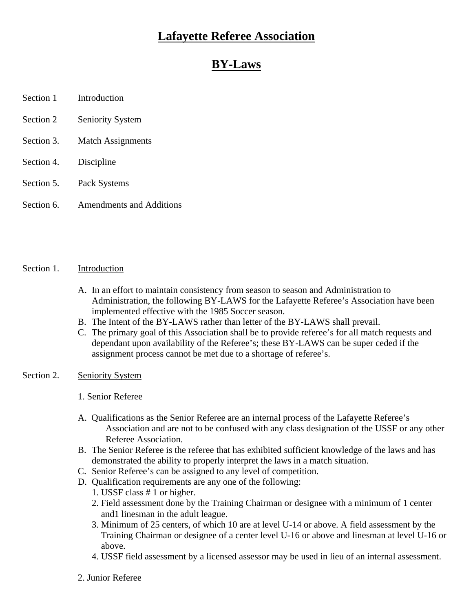## **Lafayette Referee Association**

# **BY-Laws**

- Section 1 Introduction
- Section 2 Seniority System Section 2 Seniority System
- Section 3. Match Assignments **Match** Assignments
- Section 4. Discipline
- Section 5. Pack Systems
- Section 6. Amendments and Additions

#### Section 1. Introduction **Introduction**

- A. In an effort to maintain consistency from season to season and Administration to Administration, the following BY-LAWS for the Lafayette Referee's Association have been implemented effective with the 1985 Soccer season.
- B. The Intent of the BY-LAWS rather than letter of the BY-LAWS shall prevail.
- C. The primary goal of this Association shall be to provide referee's for all match requests and dependant upon availability of the Referee's; these BY-LAWS can be super ceded if the assignment process cannot be met due to a shortage of referee's.

#### Section 2. Seniority System Section 2. Seniority System

- 1. Senior Referee
- A. Qualifications as the Senior Referee are an internal process of the Lafayette Referee's Association and are not to be confused with any class designation of the USSF or any other Referee Association.
- B. The Senior Referee is the referee that has exhibited sufficient knowledge of the laws and has demonstrated the ability to properly interpret the laws in a match situation.
- C. Senior Referee's can be assigned to any level of competition.
- D. Qualification requirements are any one of the following:
	- 1. USSF class # 1 or higher.
	- 2. Field assessment done by the Training Chairman or designee with a minimum of 1 center and1 linesman in the adult league.
- 3. Minimum of 25 centers, of which 10 are at level U-14 or above. A field assessment by the Training Chairman or designee of a center level U-16 or above and linesman at level U-16 or above.
	- 4. USSF field assessment by a licensed assessor may be used in lieu of an internal assessment.
	- 2. Junior Referee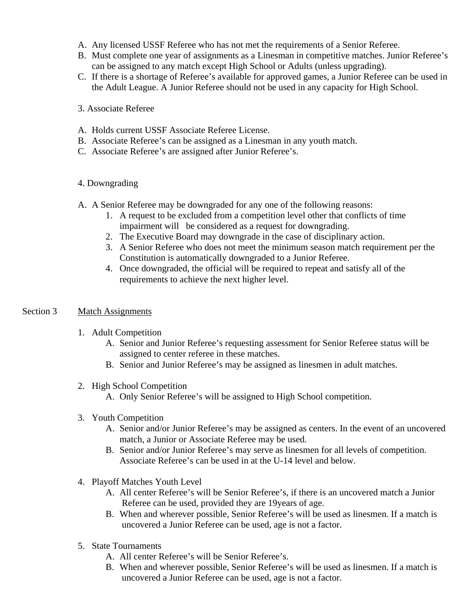- A. Any licensed USSF Referee who has not met the requirements of a Senior Referee.
- B. Must complete one year of assignments as a Linesman in competitive matches. Junior Referee's can be assigned to any match except High School or Adults (unless upgrading).
- C. If there is a shortage of Referee's available for approved games, a Junior Referee can be used in the Adult League. A Junior Referee should not be used in any capacity for High School.

## 3. Associate Referee

- A. Holds current USSF Associate Referee License.
- B. Associate Referee's can be assigned as a Linesman in any youth match.
- C. Associate Referee's are assigned after Junior Referee's.

## 4. Downgrading

- A. A Senior Referee may be downgraded for any one of the following reasons:
	- 1. A request to be excluded from a competition level other that conflicts of time impairment will be considered as a request for downgrading.
	- 2. The Executive Board may downgrade in the case of disciplinary action.
	- 3. A Senior Referee who does not meet the minimum season match requirement per the Constitution is automatically downgraded to a Junior Referee.
	- 4. Once downgraded, the official will be required to repeat and satisfy all of the requirements to achieve the next higher level.

## Section 3 Match Assignments **Match** Assignments

- 1. Adult Competition
	- A. Senior and Junior Referee's requesting assessment for Senior Referee status will be assigned to center referee in these matches.
	- B. Senior and Junior Referee's may be assigned as linesmen in adult matches.
- 2. High School Competition
	- A. Only Senior Referee's will be assigned to High School competition.
- 3. Youth Competition
	- A. Senior and/or Junior Referee's may be assigned as centers. In the event of an uncovered match, a Junior or Associate Referee may be used.
	- B. Senior and/or Junior Referee's may serve as linesmen for all levels of competition. Associate Referee's can be used in at the U-14 level and below.
- 4. Playoff Matches Youth Level
	- A. All center Referee's will be Senior Referee's, if there is an uncovered match a Junior Referee can be used, provided they are 19years of age.
	- B. When and wherever possible, Senior Referee's will be used as linesmen. If a match is uncovered a Junior Referee can be used, age is not a factor.
- 5. State Tournaments
	- A. All center Referee's will be Senior Referee's.
	- B. When and wherever possible, Senior Referee's will be used as linesmen. If a match is uncovered a Junior Referee can be used, age is not a factor.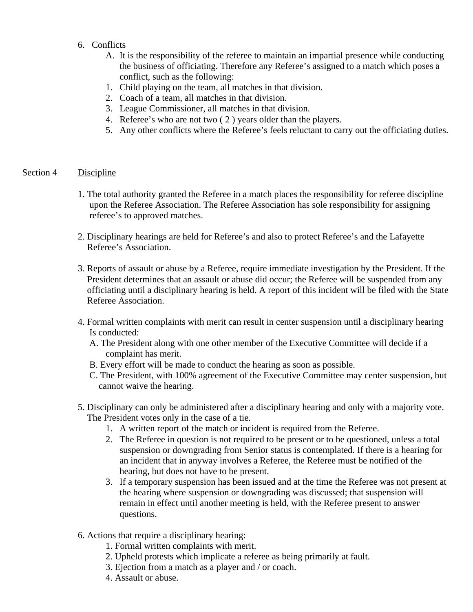- 6. Conflicts
	- A. It is the responsibility of the referee to maintain an impartial presence while conducting the business of officiating. Therefore any Referee's assigned to a match which poses a conflict, such as the following:
	- 1. Child playing on the team, all matches in that division.
	- 2. Coach of a team, all matches in that division.
	- 3. League Commissioner, all matches in that division.
	- 4. Referee's who are not two ( 2 ) years older than the players.
	- 5. Any other conflicts where the Referee's feels reluctant to carry out the officiating duties.

#### Section 4 Discipline

- 1. The total authority granted the Referee in a match places the responsibility for referee discipline upon the Referee Association. The Referee Association has sole responsibility for assigning referee's to approved matches.
- 2. Disciplinary hearings are held for Referee's and also to protect Referee's and the Lafayette Referee's Association.
- 3. Reports of assault or abuse by a Referee, require immediate investigation by the President. If the President determines that an assault or abuse did occur; the Referee will be suspended from any officiating until a disciplinary hearing is held. A report of this incident will be filed with the State Referee Association.
- 4. Formal written complaints with merit can result in center suspension until a disciplinary hearing Is conducted:
	- A. The President along with one other member of the Executive Committee will decide if a complaint has merit.
	- B. Every effort will be made to conduct the hearing as soon as possible.
	- C. The President, with 100% agreement of the Executive Committee may center suspension, but cannot waive the hearing.
- 5. Disciplinary can only be administered after a disciplinary hearing and only with a majority vote. The President votes only in the case of a tie.
	- 1. A written report of the match or incident is required from the Referee.
	- 2. The Referee in question is not required to be present or to be questioned, unless a total suspension or downgrading from Senior status is contemplated. If there is a hearing for an incident that in anyway involves a Referee, the Referee must be notified of the hearing, but does not have to be present.
	- 3. If a temporary suspension has been issued and at the time the Referee was not present at the hearing where suspension or downgrading was discussed; that suspension will remain in effect until another meeting is held, with the Referee present to answer questions.
- 6. Actions that require a disciplinary hearing:
	- 1. Formal written complaints with merit.
	- 2. Upheld protests which implicate a referee as being primarily at fault.
	- 3. Ejection from a match as a player and / or coach.
	- 4. Assault or abuse.